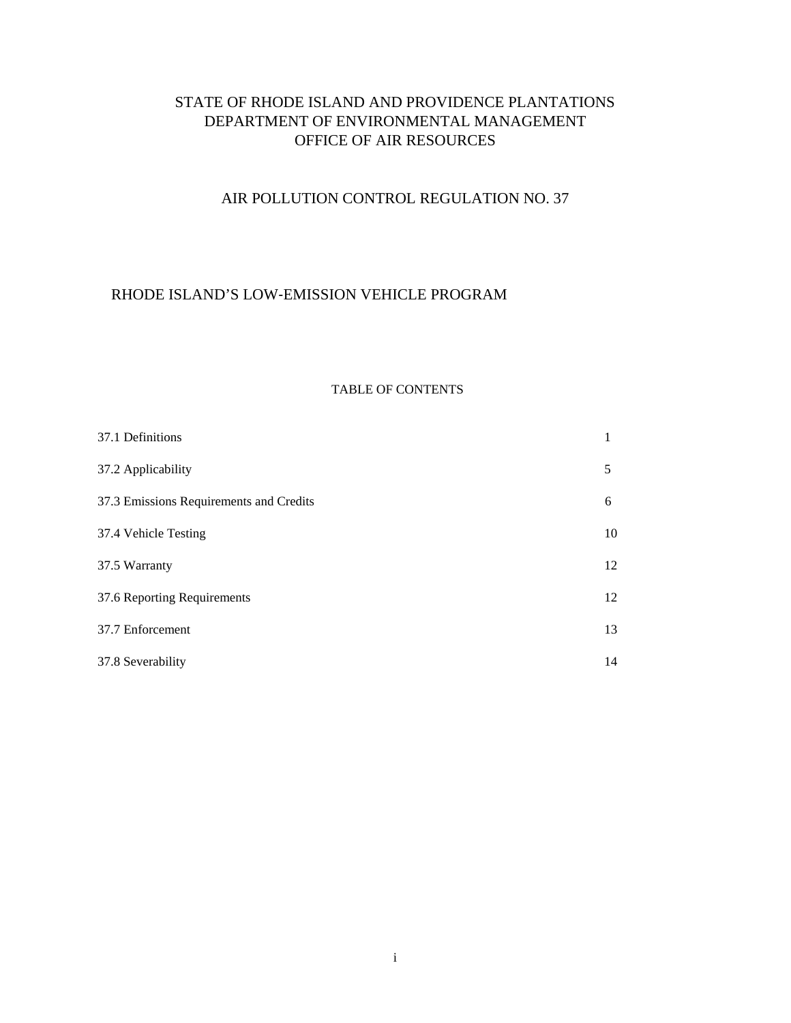## STATE OF RHODE ISLAND AND PROVIDENCE PLANTATIONS DEPARTMENT OF ENVIRONMENTAL MANAGEMENT OFFICE OF AIR RESOURCES

# AIR POLLUTION CONTROL REGULATION NO. 37

### RHODE ISLAND'S LOW‐EMISSION VEHICLE PROGRAM

#### TABLE OF CONTENTS

| 37.1 Definitions                        | 1  |
|-----------------------------------------|----|
| 37.2 Applicability                      | 5  |
| 37.3 Emissions Requirements and Credits | 6  |
| 37.4 Vehicle Testing                    | 10 |
| 37.5 Warranty                           | 12 |
| 37.6 Reporting Requirements             | 12 |
| 37.7 Enforcement                        | 13 |
| 37.8 Severability                       | 14 |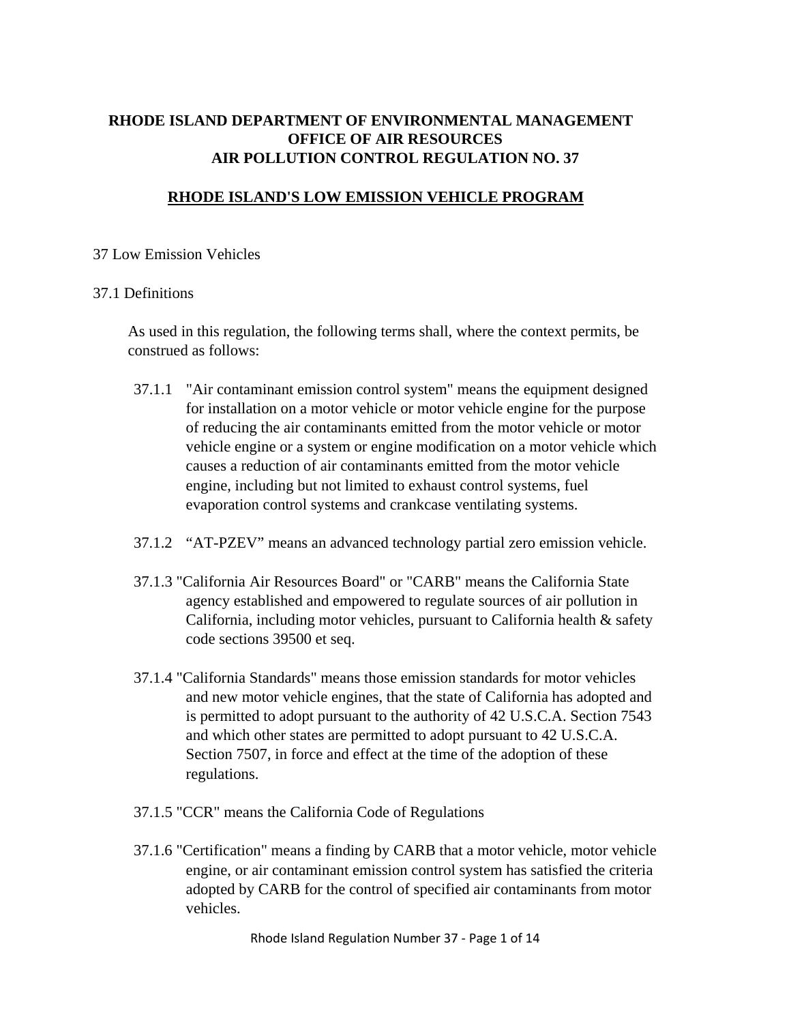# AIR POLLUTION CONTROL REGULATION NO. 37 **RHODE ISLAND DEPARTMENT OF ENVIRONMENTAL MANAGEMENT OFFICE OF AIR RESOURCES**

## **RHODE ISLAND'S LOW EMISSION VEHICLE PROGRAM**

### 37 Low Emission Vehicles

### 37.1 Definitions

As used in this regulation, the following terms shall, where the context permits, be construed as follows:

- 37.1.1 "Air contaminant emission control system" means the equipment designed for installation on a motor vehicle or motor vehicle engine for the purpose of reducing the air contaminants emitted from the motor vehicle or motor vehicle engine or a system or engine modification on a motor vehicle which causes a reduction of air contaminants emitted from the motor vehicle engine, including but not limited to exhaust control systems, fuel evaporation control systems and crankcase ventilating systems.
- 37.1.2 "AT-PZEV" means an advanced technology partial zero emission vehicle.
- 37.1.3 "California Air Resources Board" or "CARB" means the California State agency established and empowered to regulate sources of air pollution in California, including motor vehicles, pursuant to California health & safety code sections 39500 et seq.
- 37.1.4 "California Standards" means those emission standards for motor vehicles and new motor vehicle engines, that the state of California has adopted and is permitted to adopt pursuant to the authority of 42 U.S.C.A. Section 7543 and which other states are permitted to adopt pursuant to 42 U.S.C.A. Section 7507, in force and effect at the time of the adoption of these regulations.
- 37.1.5 "CCR" means the California Code of Regulations
- 37.1.6 "Certification" means a finding by CARB that a motor vehicle, motor vehicle engine, or air contaminant emission control system has satisfied the criteria adopted by CARB for the control of specified air contaminants from motor vehicles.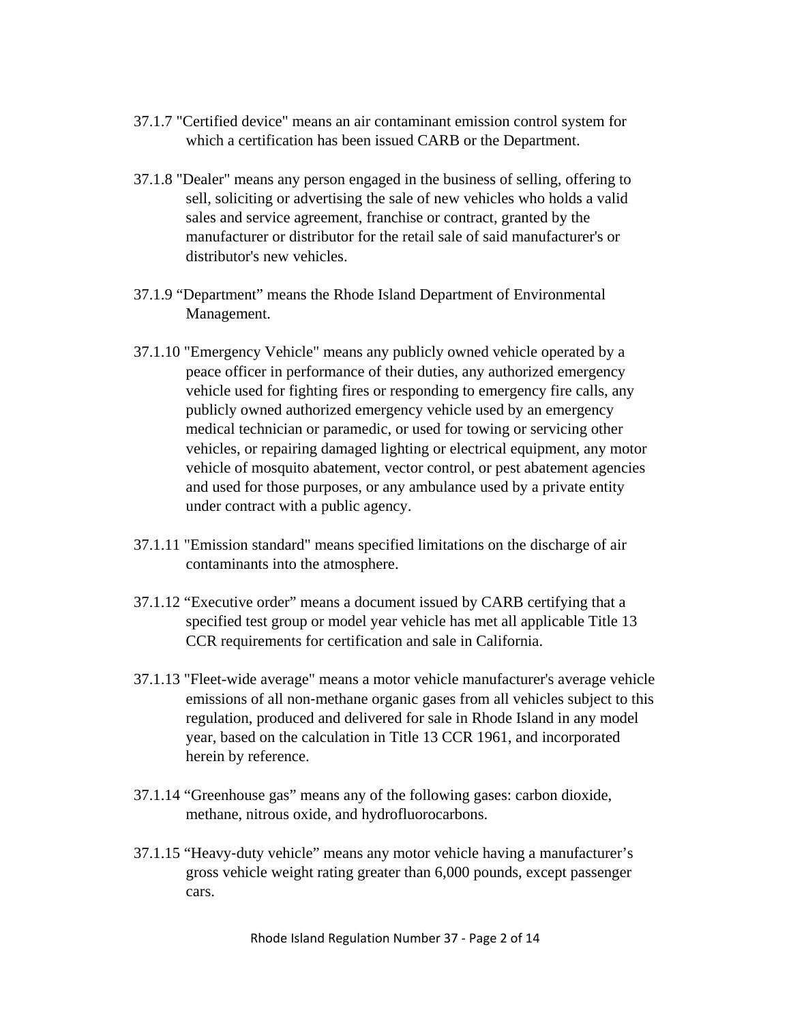- 37.1.7 "Certified device" means an air contaminant emission control system for which a certification has been issued CARB or the Department.
- 37.1.8 "Dealer" means any person engaged in the business of selling, offering to sell, soliciting or advertising the sale of new vehicles who holds a valid sales and service agreement, franchise or contract, granted by the manufacturer or distributor for the retail sale of said manufacturer's or distributor's new vehicles.
- 37.1.9 "Department" means the Rhode Island Department of Environmental Management.
- 37.1.10 "Emergency Vehicle" means any publicly owned vehicle operated by a peace officer in performance of their duties, any authorized emergency vehicle used for fighting fires or responding to emergency fire calls, any publicly owned authorized emergency vehicle used by an emergency medical technician or paramedic, or used for towing or servicing other vehicles, or repairing damaged lighting or electrical equipment, any motor vehicle of mosquito abatement, vector control, or pest abatement agencies and used for those purposes, or any ambulance used by a private entity under contract with a public agency.
- 37.1.11 "Emission standard" means specified limitations on the discharge of air contaminants into the atmosphere.
- 37.1.12 "Executive order" means a document issued by CARB certifying that a specified test group or model year vehicle has met all applicable Title 13 CCR requirements for certification and sale in California.
- 37.1.13 "Fleet-wide average" means a motor vehicle manufacturer's average vehicle emissions of all non-methane organic gases from all vehicles subject to this regulation, produced and delivered for sale in Rhode Island in any model year, based on the calculation in Title 13 CCR 1961, and incorporated herein by reference.
- 37.1.14 "Greenhouse gas" means any of the following gases: carbon dioxide, methane, nitrous oxide, and hydrofluorocarbons.
- 37.1.15 "Heavy‐duty vehicle" means any motor vehicle having a manufacturer's gross vehicle weight rating greater than 6,000 pounds, except passenger cars.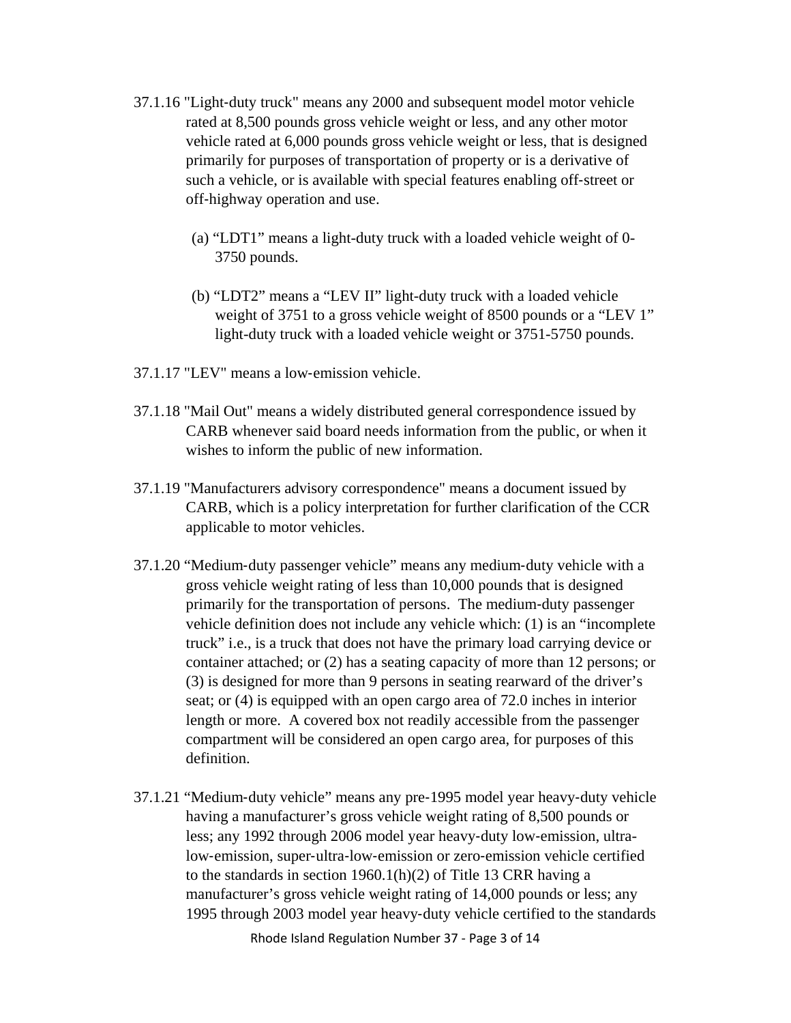- 37.1.16 "Light‐duty truck" means any 2000 and subsequent model motor vehicle rated at 8,500 pounds gross vehicle weight or less, and any other motor vehicle rated at 6,000 pounds gross vehicle weight or less, that is designed primarily for purposes of transportation of property or is a derivative of such a vehicle, or is available with special features enabling off‐street or off‐highway operation and use.
	- (a) "LDT1" means a light-duty truck with a loaded vehicle weight of 0- 3750 pounds.
	- (b) "LDT2" means a "LEV II" light-duty truck with a loaded vehicle weight of 3751 to a gross vehicle weight of 8500 pounds or a "LEV 1" light-duty truck with a loaded vehicle weight or 3751-5750 pounds.
- 37.1.17 "LEV" means a low-emission vehicle.
- 37.1.18 "Mail Out" means a widely distributed general correspondence issued by CARB whenever said board needs information from the public, or when it wishes to inform the public of new information.
- 37.1.19 "Manufacturers advisory correspondence" means a document issued by CARB, which is a policy interpretation for further clarification of the CCR applicable to motor vehicles.
- 37.1.20 "Medium‐duty passenger vehicle" means any medium‐duty vehicle with a gross vehicle weight rating of less than 10,000 pounds that is designed primarily for the transportation of persons. The medium‐duty passenger vehicle definition does not include any vehicle which: (1) is an "incomplete truck" i.e., is a truck that does not have the primary load carrying device or container attached; or (2) has a seating capacity of more than 12 persons; or (3) is designed for more than 9 persons in seating rearward of the driver's seat; or (4) is equipped with an open cargo area of 72.0 inches in interior length or more. A covered box not readily accessible from the passenger compartment will be considered an open cargo area, for purposes of this definition.
- 37.1.21 "Medium‐duty vehicle" means any pre‐1995 model year heavy‐duty vehicle having a manufacturer's gross vehicle weight rating of 8,500 pounds or less; any 1992 through 2006 model year heavy‐duty low‐emission, ultralow‐emission, super‐ultra‐low‐emission or zero‐emission vehicle certified to the standards in section 1960.1(h)(2) of Title 13 CRR having a manufacturer's gross vehicle weight rating of 14,000 pounds or less; any 1995 through 2003 model year heavy‐duty vehicle certified to the standards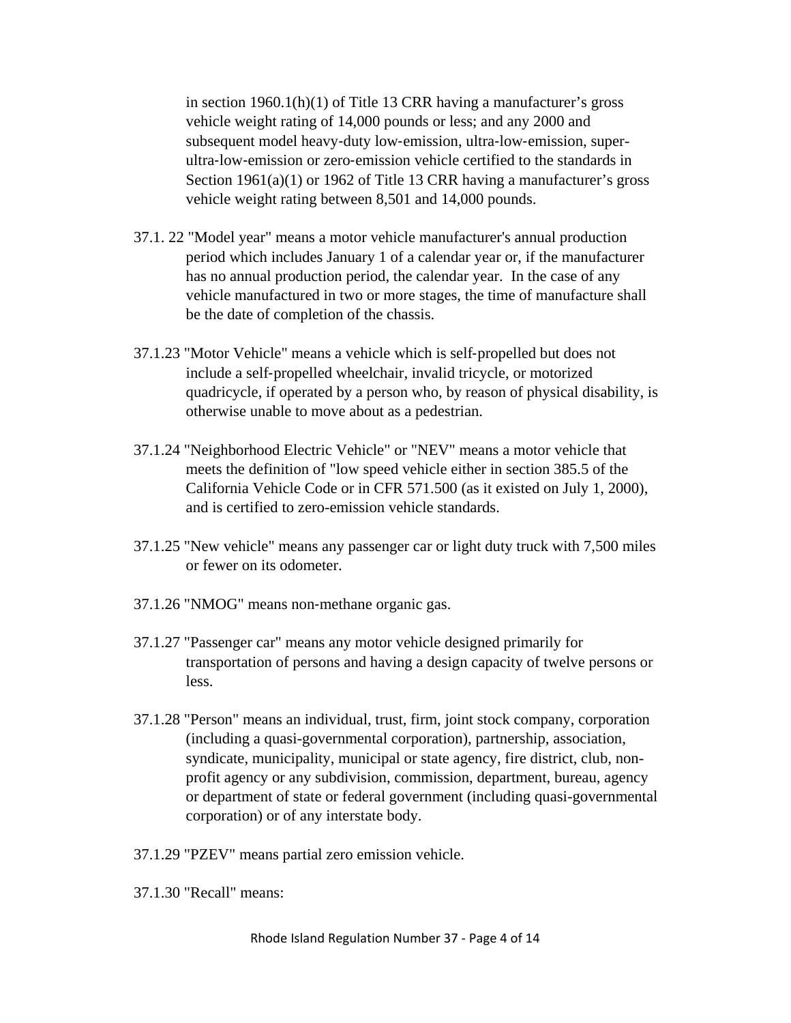in section 1960.1(h)(1) of Title 13 CRR having a manufacturer's gross vehicle weight rating of 14,000 pounds or less; and any 2000 and subsequent model heavy-duty low-emission, ultra-low-emission, superultra‐low‐emission or zero‐emission vehicle certified to the standards in Section 1961(a)(1) or 1962 of Title 13 CRR having a manufacturer's gross vehicle weight rating between 8,501 and 14,000 pounds.

- 37.1. 22 "Model year" means a motor vehicle manufacturer's annual production period which includes January 1 of a calendar year or, if the manufacturer has no annual production period, the calendar year. In the case of any vehicle manufactured in two or more stages, the time of manufacture shall be the date of completion of the chassis.
- 37.1.23 "Motor Vehicle" means a vehicle which is self‐propelled but does not include a self‐propelled wheelchair, invalid tricycle, or motorized quadricycle, if operated by a person who, by reason of physical disability, is otherwise unable to move about as a pedestrian.
- 37.1.24 "Neighborhood Electric Vehicle" or "NEV" means a motor vehicle that meets the definition of "low speed vehicle either in section 385.5 of the California Vehicle Code or in CFR 571.500 (as it existed on July 1, 2000), and is certified to zero-emission vehicle standards.
- 37.1.25 "New vehicle" means any passenger car or light duty truck with 7,500 miles or fewer on its odometer.
- 37.1.26 "NMOG" means non‐methane organic gas.
- 37.1.27 "Passenger car" means any motor vehicle designed primarily for transportation of persons and having a design capacity of twelve persons or less.
- 37.1.28 "Person" means an individual, trust, firm, joint stock company, corporation (including a quasi-governmental corporation), partnership, association, syndicate, municipality, municipal or state agency, fire district, club, nonprofit agency or any subdivision, commission, department, bureau, agency or department of state or federal government (including quasi-governmental corporation) or of any interstate body.
- 37.1.29 "PZEV" means partial zero emission vehicle.
- 37.1.30 "Recall" means: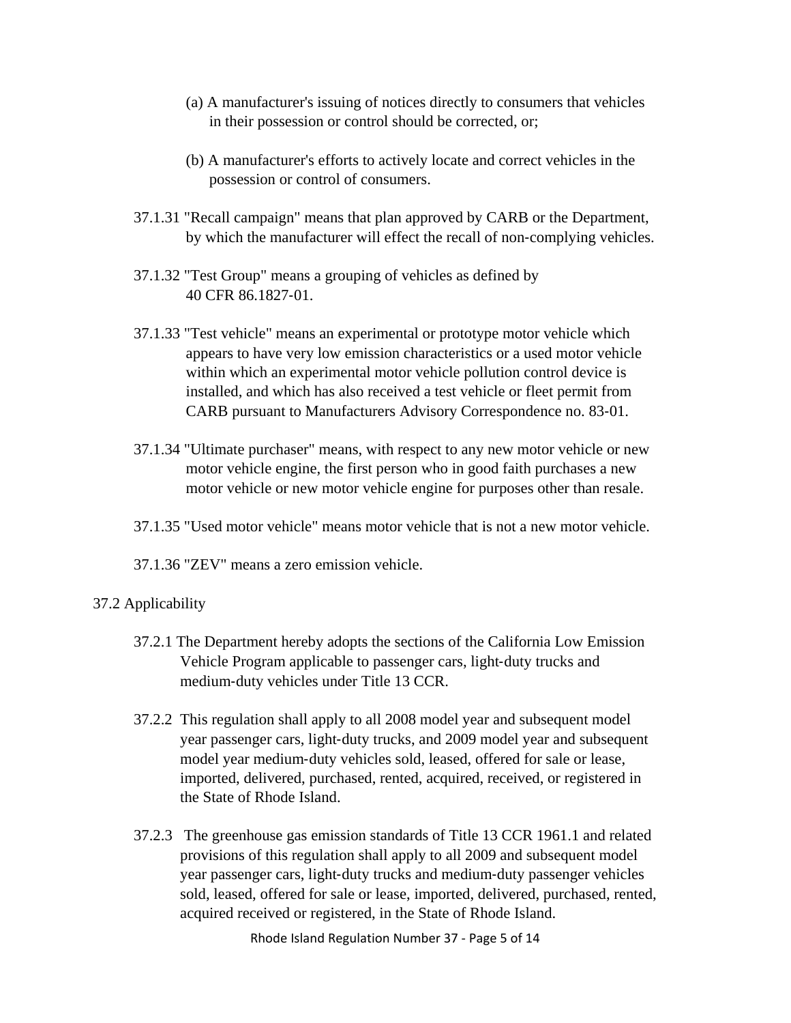- (a) A manufacturer's issuing of notices directly to consumers that vehicles in their possession or control should be corrected, or;
- (b) A manufacturer's efforts to actively locate and correct vehicles in the possession or control of consumers.
- 37.1.31 "Recall campaign" means that plan approved by CARB or the Department, by which the manufacturer will effect the recall of non‐complying vehicles.
- 37.1.32 "Test Group" means a grouping of vehicles as defined by 40 CFR 86.1827‐01.
- 37.1.33 "Test vehicle" means an experimental or prototype motor vehicle which appears to have very low emission characteristics or a used motor vehicle within which an experimental motor vehicle pollution control device is installed, and which has also received a test vehicle or fleet permit from CARB pursuant to Manufacturers Advisory Correspondence no. 83‐01.
- 37.1.34 "Ultimate purchaser" means, with respect to any new motor vehicle or new motor vehicle engine, the first person who in good faith purchases a new motor vehicle or new motor vehicle engine for purposes other than resale.
- 37.1.35 "Used motor vehicle" means motor vehicle that is not a new motor vehicle.
- 37.1.36 "ZEV" means a zero emission vehicle.

## 37.2 Applicability

- 37.2.1 The Department hereby adopts the sections of the California Low Emission Vehicle Program applicable to passenger cars, light‐duty trucks and medium‐duty vehicles under Title 13 CCR.
- 37.2.2 This regulation shall apply to all 2008 model year and subsequent model year passenger cars, light-duty trucks, and 2009 model year and subsequent model year medium‐duty vehicles sold, leased, offered for sale or lease, imported, delivered, purchased, rented, acquired, received, or registered in the State of Rhode Island.
- 37.2.3 The greenhouse gas emission standards of Title 13 CCR 1961.1 and related provisions of this regulation shall apply to all 2009 and subsequent model year passenger cars, light‐duty trucks and medium‐duty passenger vehicles sold, leased, offered for sale or lease, imported, delivered, purchased, rented, acquired received or registered, in the State of Rhode Island.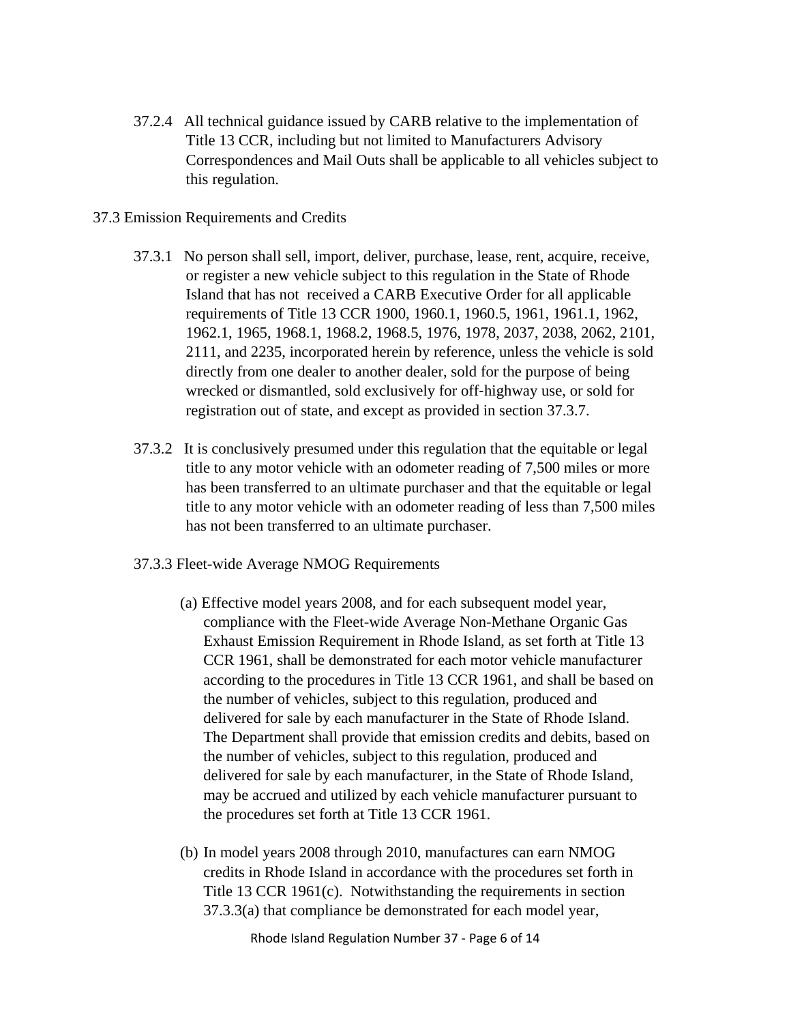- 37.2.4 All technical guidance issued by CARB relative to the implementation of Title 13 CCR, including but not limited to Manufacturers Advisory Correspondences and Mail Outs shall be applicable to all vehicles subject to this regulation.
- 37.3 Emission Requirements and Credits
	- 37.3.1 No person shall sell, import, deliver, purchase, lease, rent, acquire, receive, or register a new vehicle subject to this regulation in the State of Rhode Island that has not received a CARB Executive Order for all applicable requirements of Title 13 CCR 1900, 1960.1, 1960.5, 1961, 1961.1, 1962, 1962.1, 1965, 1968.1, 1968.2, 1968.5, 1976, 1978, 2037, 2038, 2062, 2101, 2111, and 2235, incorporated herein by reference, unless the vehicle is sold directly from one dealer to another dealer, sold for the purpose of being wrecked or dismantled, sold exclusively for off-highway use, or sold for registration out of state, and except as provided in section 37.3.7.
	- 37.3.2 It is conclusively presumed under this regulation that the equitable or legal title to any motor vehicle with an odometer reading of 7,500 miles or more has been transferred to an ultimate purchaser and that the equitable or legal title to any motor vehicle with an odometer reading of less than 7,500 miles has not been transferred to an ultimate purchaser.
	- 37.3.3 Fleet-wide Average NMOG Requirements
		- (a)Effective model years 2008, and for each subsequent model year, compliance with the Fleet-wide Average Non-Methane Organic Gas Exhaust Emission Requirement in Rhode Island, as set forth at Title 13 CCR 1961, shall be demonstrated for each motor vehicle manufacturer according to the procedures in Title 13 CCR 1961, and shall be based on the number of vehicles, subject to this regulation, produced and delivered for sale by each manufacturer in the State of Rhode Island. The Department shall provide that emission credits and debits, based on the number of vehicles, subject to this regulation, produced and delivered for sale by each manufacturer, in the State of Rhode Island, may be accrued and utilized by each vehicle manufacturer pursuant to the procedures set forth at Title 13 CCR 1961.
		- (b) In model years 2008 through 2010, manufactures can earn NMOG credits in Rhode Island in accordance with the procedures set forth in Title 13 CCR 1961(c). Notwithstanding the requirements in section 37.3.3(a) that compliance be demonstrated for each model year,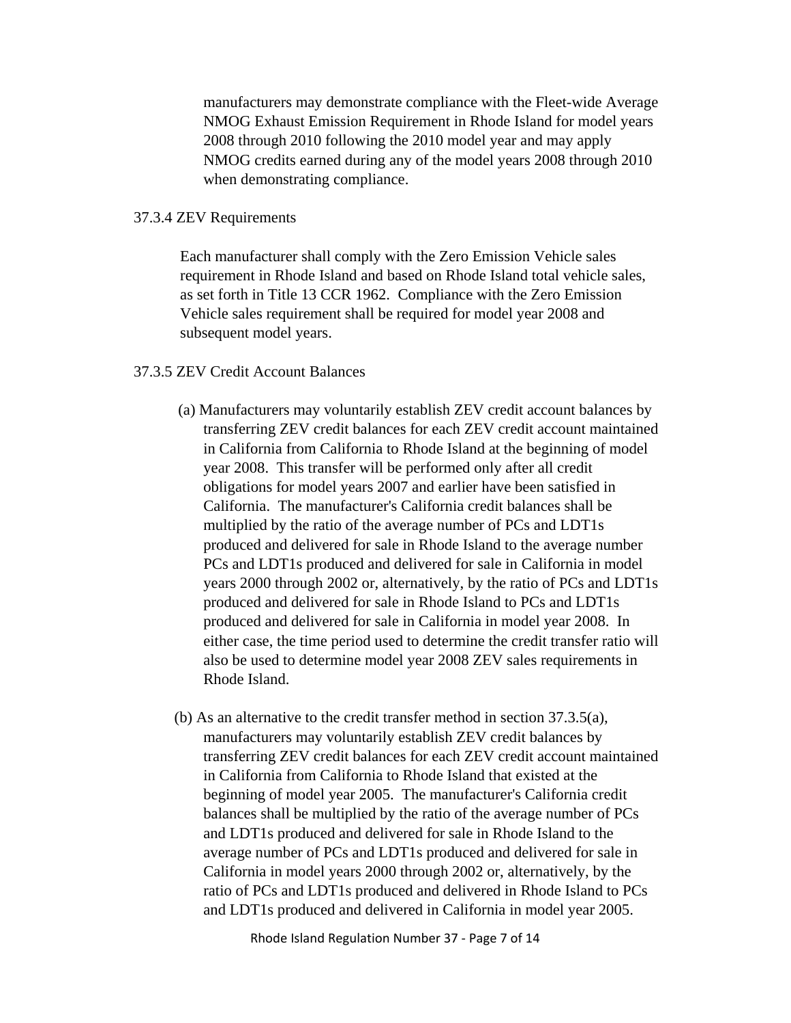manufacturers may demonstrate compliance with the Fleet-wide Average NMOG Exhaust Emission Requirement in Rhode Island for model years 2008 through 2010 following the 2010 model year and may apply NMOG credits earned during any of the model years 2008 through 2010 when demonstrating compliance.

#### 37.3.4 ZEV Requirements

Each manufacturer shall comply with the Zero Emission Vehicle sales requirement in Rhode Island and based on Rhode Island total vehicle sales, as set forth in Title 13 CCR 1962. Compliance with the Zero Emission Vehicle sales requirement shall be required for model year 2008 and subsequent model years.

### 37.3.5 ZEV Credit Account Balances

- (a) Manufacturers may voluntarily establish ZEV credit account balances by transferring ZEV credit balances for each ZEV credit account maintained in California from California to Rhode Island at the beginning of model year 2008. This transfer will be performed only after all credit obligations for model years 2007 and earlier have been satisfied in California. The manufacturer's California credit balances shall be multiplied by the ratio of the average number of PCs and LDT1s produced and delivered for sale in Rhode Island to the average number PCs and LDT1s produced and delivered for sale in California in model years 2000 through 2002 or, alternatively, by the ratio of PCs and LDT1s produced and delivered for sale in Rhode Island to PCs and LDT1s produced and delivered for sale in California in model year 2008. In either case, the time period used to determine the credit transfer ratio will also be used to determine model year 2008 ZEV sales requirements in Rhode Island.
- (b) As an alternative to the credit transfer method in section 37.3.5(a), manufacturers may voluntarily establish ZEV credit balances by transferring ZEV credit balances for each ZEV credit account maintained in California from California to Rhode Island that existed at the beginning of model year 2005. The manufacturer's California credit balances shall be multiplied by the ratio of the average number of PCs and LDT1s produced and delivered for sale in Rhode Island to the average number of PCs and LDT1s produced and delivered for sale in California in model years 2000 through 2002 or, alternatively, by the ratio of PCs and LDT1s produced and delivered in Rhode Island to PCs and LDT1s produced and delivered in California in model year 2005.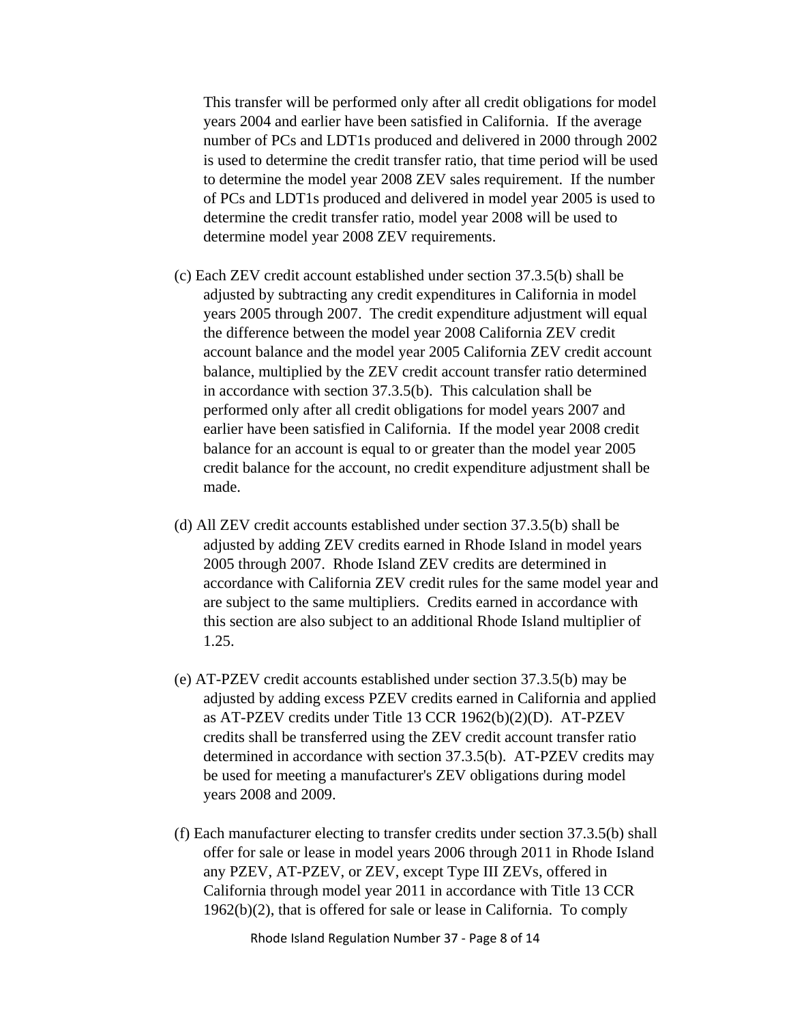This transfer will be performed only after all credit obligations for model years 2004 and earlier have been satisfied in California. If the average number of PCs and LDT1s produced and delivered in 2000 through 2002 is used to determine the credit transfer ratio, that time period will be used to determine the model year 2008 ZEV sales requirement. If the number of PCs and LDT1s produced and delivered in model year 2005 is used to determine the credit transfer ratio, model year 2008 will be used to determine model year 2008 ZEV requirements.

- (c) Each ZEV credit account established under section 37.3.5(b) shall be adjusted by subtracting any credit expenditures in California in model years 2005 through 2007. The credit expenditure adjustment will equal the difference between the model year 2008 California ZEV credit account balance and the model year 2005 California ZEV credit account balance, multiplied by the ZEV credit account transfer ratio determined in accordance with section 37.3.5(b). This calculation shall be performed only after all credit obligations for model years 2007 and earlier have been satisfied in California. If the model year 2008 credit balance for an account is equal to or greater than the model year 2005 credit balance for the account, no credit expenditure adjustment shall be made.
- (d) All ZEV credit accounts established under section 37.3.5(b) shall be adjusted by adding ZEV credits earned in Rhode Island in model years 2005 through 2007. Rhode Island ZEV credits are determined in accordance with California ZEV credit rules for the same model year and are subject to the same multipliers. Credits earned in accordance with this section are also subject to an additional Rhode Island multiplier of 1.25.
- (e) AT-PZEV credit accounts established under section 37.3.5(b) may be adjusted by adding excess PZEV credits earned in California and applied as AT-PZEV credits under Title 13 CCR 1962(b)(2)(D). AT-PZEV credits shall be transferred using the ZEV credit account transfer ratio determined in accordance with section 37.3.5(b). AT-PZEV credits may be used for meeting a manufacturer's ZEV obligations during model years 2008 and 2009.
- (f) Each manufacturer electing to transfer credits under section 37.3.5(b) shall offer for sale or lease in model years 2006 through 2011 in Rhode Island any PZEV, AT-PZEV, or ZEV, except Type III ZEVs, offered in California through model year 2011 in accordance with Title 13 CCR 1962(b)(2), that is offered for sale or lease in California. To comply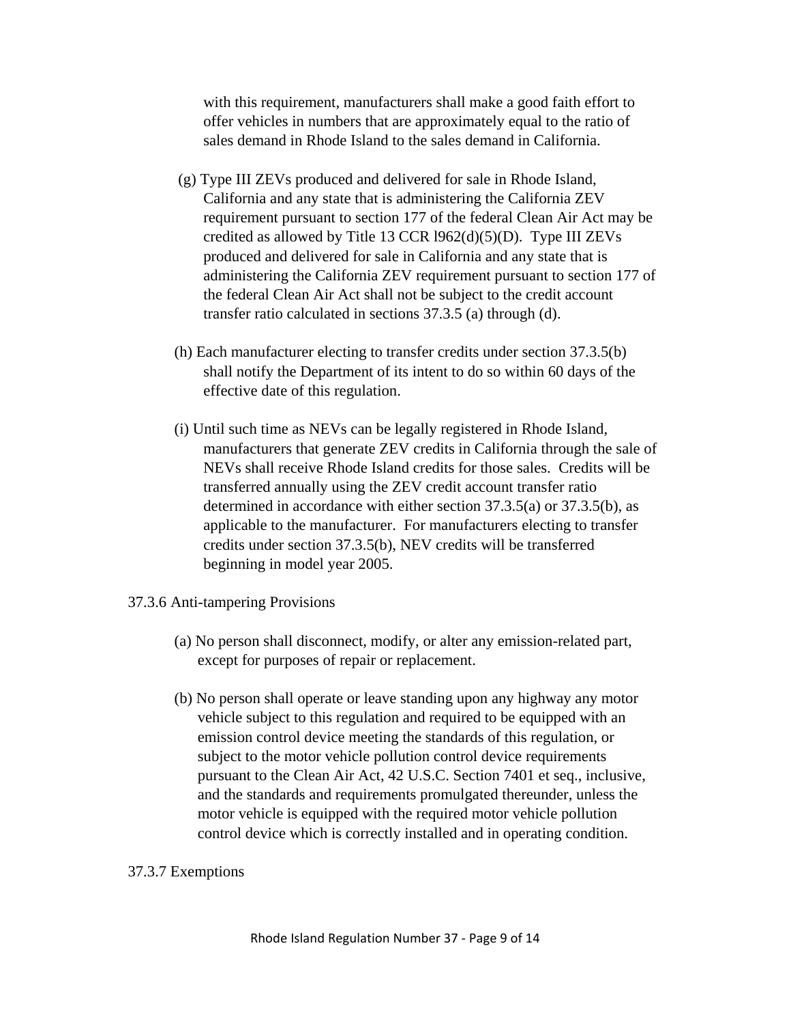with this requirement, manufacturers shall make a good faith effort to offer vehicles in numbers that are approximately equal to the ratio of sales demand in Rhode Island to the sales demand in California.

- (g) Type III ZEVs produced and delivered for sale in Rhode Island, California and any state that is administering the California ZEV requirement pursuant to section 177 of the federal Clean Air Act may be credited as allowed by Title 13 CCR l962(d)(5)(D). Type III ZEVs produced and delivered for sale in California and any state that is administering the California ZEV requirement pursuant to section 177 of the federal Clean Air Act shall not be subject to the credit account transfer ratio calculated in sections 37.3.5 (a) through (d).
- (h) Each manufacturer electing to transfer credits under section 37.3.5(b) shall notify the Department of its intent to do so within 60 days of the effective date of this regulation.
- (i) Until such time as NEVs can be legally registered in Rhode Island, manufacturers that generate ZEV credits in California through the sale of NEVs shall receive Rhode Island credits for those sales. Credits will be transferred annually using the ZEV credit account transfer ratio determined in accordance with either section 37.3.5(a) or 37.3.5(b), as applicable to the manufacturer. For manufacturers electing to transfer credits under section 37.3.5(b), NEV credits will be transferred beginning in model year 2005.
- 37.3.6 Anti-tampering Provisions
	- (a) No person shall disconnect, modify, or alter any emission-related part, except for purposes of repair or replacement.
	- (b) No person shall operate or leave standing upon any highway any motor vehicle subject to this regulation and required to be equipped with an emission control device meeting the standards of this regulation, or subject to the motor vehicle pollution control device requirements pursuant to the Clean Air Act, 42 U.S.C. Section 7401 et seq., inclusive, and the standards and requirements promulgated thereunder, unless the motor vehicle is equipped with the required motor vehicle pollution control device which is correctly installed and in operating condition.

### 37.3.7 Exemptions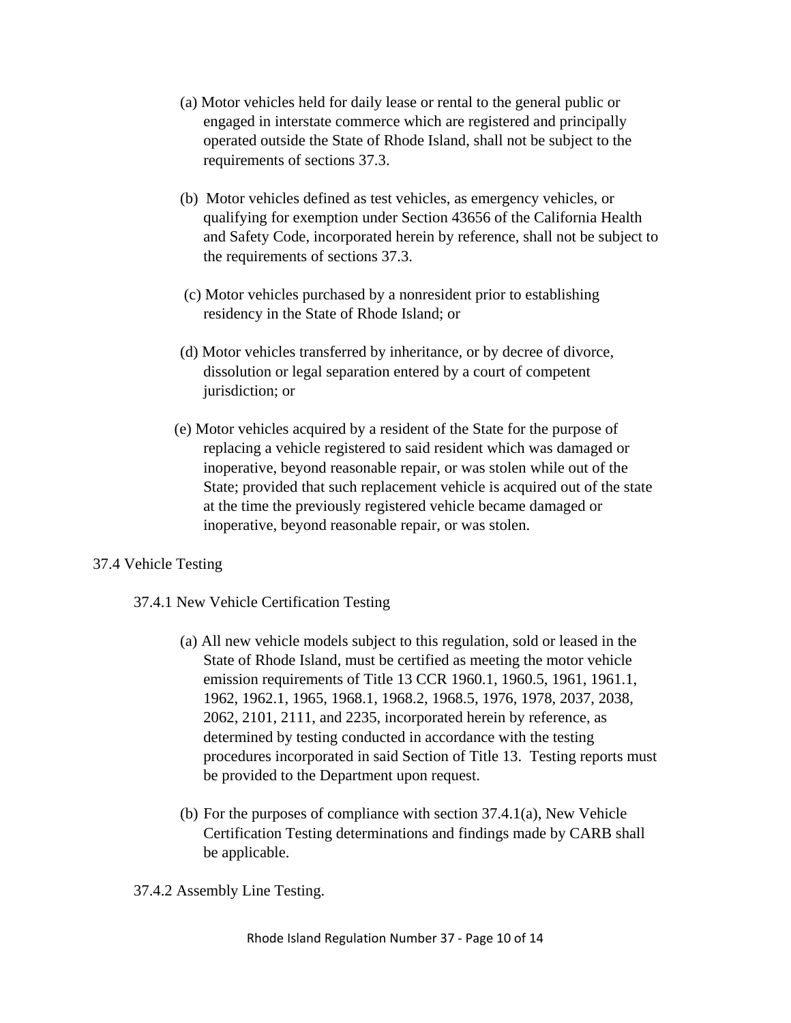- (a) Motor vehicles held for daily lease or rental to the general public or engaged in interstate commerce which are registered and principally operated outside the State of Rhode Island, shall not be subject to the requirements of sections 37.3.
- (b) Motor vehicles defined as test vehicles, as emergency vehicles, or qualifying for exemption under Section 43656 of the California Health and Safety Code, incorporated herein by reference, shall not be subject to the requirements of sections 37.3.
- (c) Motor vehicles purchased by a nonresident prior to establishing residency in the State of Rhode Island; or
- (d) Motor vehicles transferred by inheritance, or by decree of divorce, dissolution or legal separation entered by a court of competent jurisdiction; or
- (e) Motor vehicles acquired by a resident of the State for the purpose of replacing a vehicle registered to said resident which was damaged or inoperative, beyond reasonable repair, or was stolen while out of the State; provided that such replacement vehicle is acquired out of the state at the time the previously registered vehicle became damaged or inoperative, beyond reasonable repair, or was stolen.

## 37.4 Vehicle Testing

- 37.4.1 New Vehicle Certification Testing
	- (a)All new vehicle models subject to this regulation, sold or leased in the State of Rhode Island, must be certified as meeting the motor vehicle emission requirements of Title 13 CCR 1960.1, 1960.5, 1961, 1961.1, 1962, 1962.1, 1965, 1968.1, 1968.2, 1968.5, 1976, 1978, 2037, 2038, 2062, 2101, 2111, and 2235, incorporated herein by reference, as determined by testing conducted in accordance with the testing procedures incorporated in said Section of Title 13. Testing reports must be provided to the Department upon request.
	- (b) For the purposes of compliance with section 37.4.1(a), New Vehicle Certification Testing determinations and findings made by CARB shall be applicable.
- 37.4.2 Assembly Line Testing.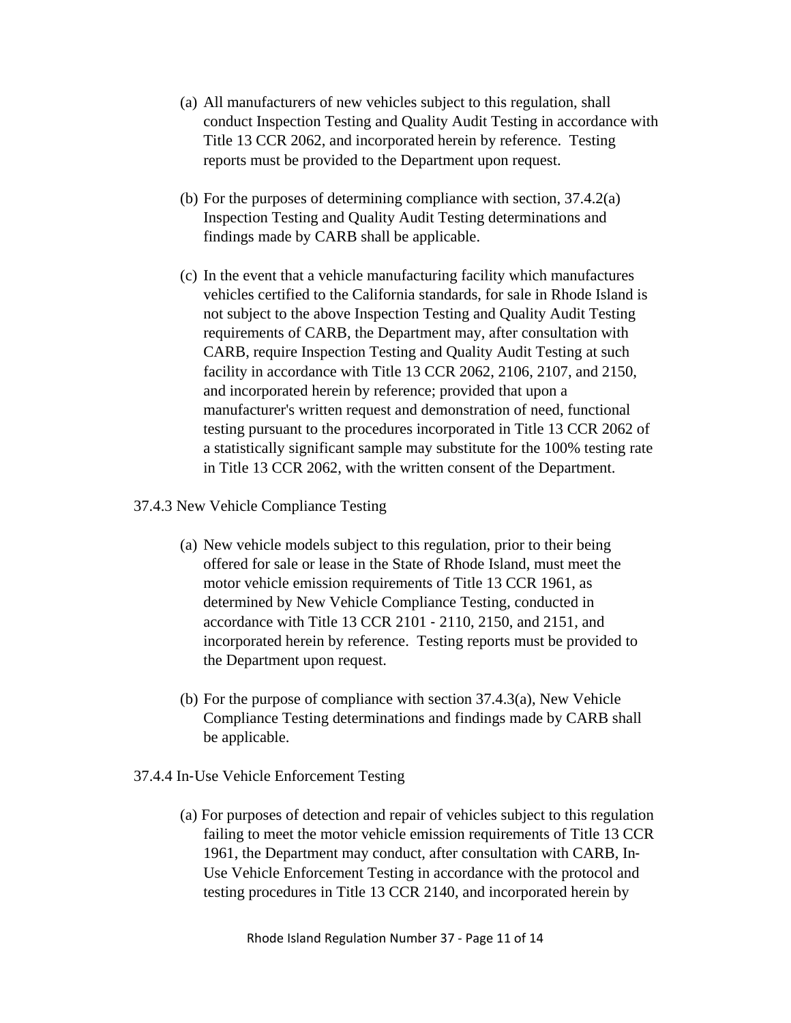- (a) All manufacturers of new vehicles subject to this regulation, shall conduct Inspection Testing and Quality Audit Testing in accordance with Title 13 CCR 2062, and incorporated herein by reference. Testing reports must be provided to the Department upon request.
- (b) For the purposes of determining compliance with section, 37.4.2(a) Inspection Testing and Quality Audit Testing determinations and findings made by CARB shall be applicable.
- (c) In the event that a vehicle manufacturing facility which manufactures vehicles certified to the California standards, for sale in Rhode Island is not subject to the above Inspection Testing and Quality Audit Testing requirements of CARB, the Department may, after consultation with CARB, require Inspection Testing and Quality Audit Testing at such facility in accordance with Title 13 CCR 2062, 2106, 2107, and 2150, and incorporated herein by reference; provided that upon a manufacturer's written request and demonstration of need, functional testing pursuant to the procedures incorporated in Title 13 CCR 2062 of a statistically significant sample may substitute for the 100% testing rate in Title 13 CCR 2062, with the written consent of the Department.
- 37.4.3 New Vehicle Compliance Testing
	- (a) New vehicle models subject to this regulation, prior to their being offered for sale or lease in the State of Rhode Island, must meet the motor vehicle emission requirements of Title 13 CCR 1961, as determined by New Vehicle Compliance Testing, conducted in accordance with Title 13 CCR 2101 ‐ 2110, 2150, and 2151, and incorporated herein by reference. Testing reports must be provided to the Department upon request.
	- (b) For the purpose of compliance with section 37.4.3(a), New Vehicle Compliance Testing determinations and findings made by CARB shall be applicable.
- 37.4.4 In‐Use Vehicle Enforcement Testing
	- (a)For purposes of detection and repair of vehicles subject to this regulation failing to meet the motor vehicle emission requirements of Title 13 CCR 1961, the Department may conduct, after consultation with CARB, In‐ Use Vehicle Enforcement Testing in accordance with the protocol and testing procedures in Title 13 CCR 2140, and incorporated herein by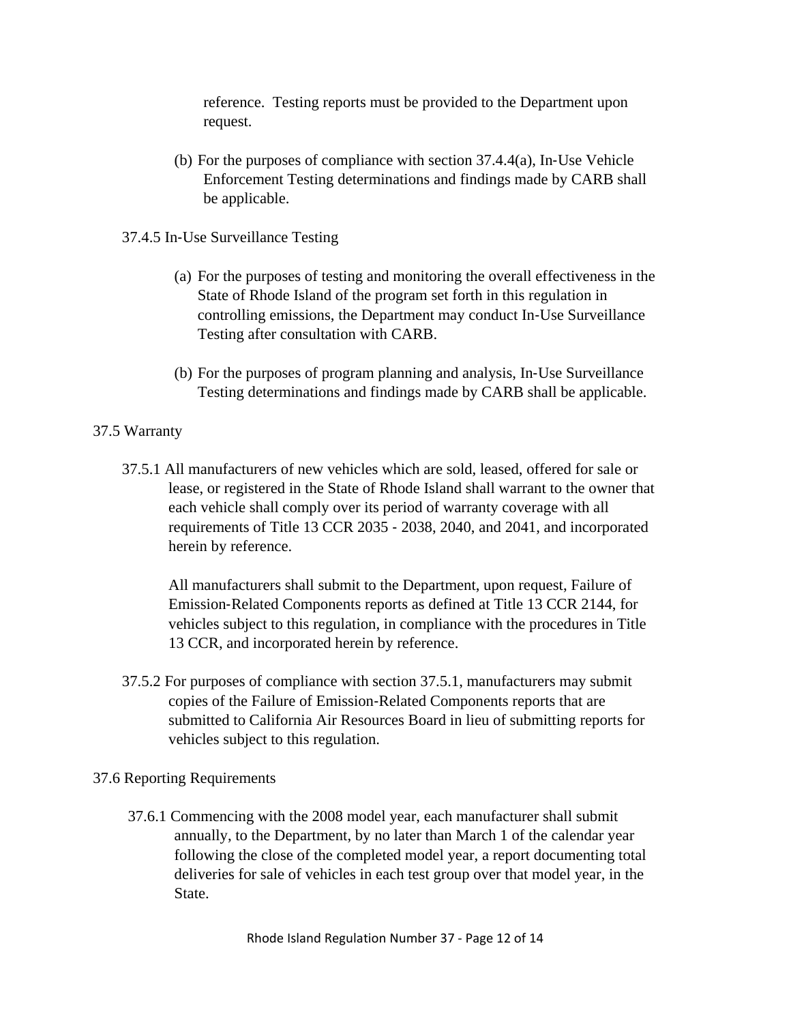reference. Testing reports must be provided to the Department upon request.

- (b) For the purposes of compliance with section 37.4.4(a), In‐Use Vehicle Enforcement Testing determinations and findings made by CARB shall be applicable.
- 37.4.5 In‐Use Surveillance Testing
	- (a) For the purposes of testing and monitoring the overall effectiveness in the State of Rhode Island of the program set forth in this regulation in controlling emissions, the Department may conduct In‐Use Surveillance Testing after consultation with CARB.
	- (b) For the purposes of program planning and analysis, In‐Use Surveillance Testing determinations and findings made by CARB shall be applicable.

## 37.5 Warranty

37.5.1 All manufacturers of new vehicles which are sold, leased, offered for sale or lease, or registered in the State of Rhode Island shall warrant to the owner that each vehicle shall comply over its period of warranty coverage with all requirements of Title 13 CCR 2035 ‐ 2038, 2040, and 2041, and incorporated herein by reference.

All manufacturers shall submit to the Department, upon request, Failure of Emission‐Related Components reports as defined at Title 13 CCR 2144, for vehicles subject to this regulation, in compliance with the procedures in Title 13 CCR, and incorporated herein by reference.

37.5.2 For purposes of compliance with section 37.5.1, manufacturers may submit copies of the Failure of Emission‐Related Components reports that are submitted to California Air Resources Board in lieu of submitting reports for vehicles subject to this regulation.

## 37.6 Reporting Requirements

37.6.1 Commencing with the 2008 model year, each manufacturer shall submit annually, to the Department, by no later than March 1 of the calendar year following the close of the completed model year, a report documenting total deliveries for sale of vehicles in each test group over that model year, in the State.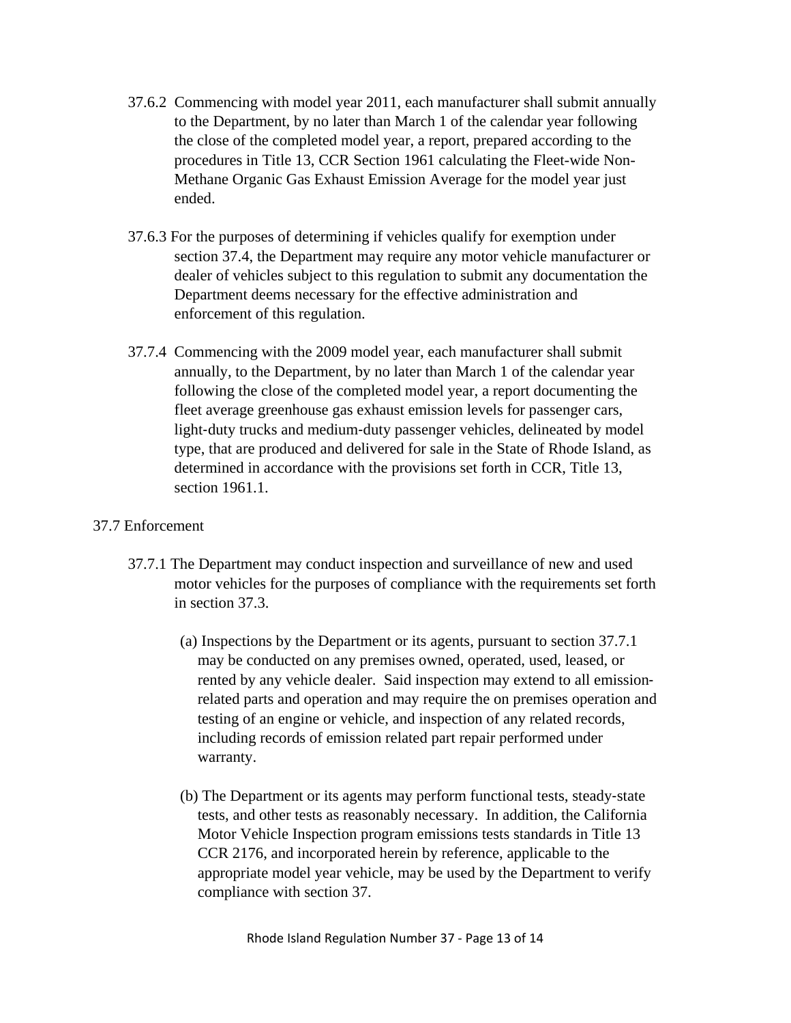- 37.6.2 Commencing with model year 2011, each manufacturer shall submit annually to the Department, by no later than March 1 of the calendar year following the close of the completed model year, a report, prepared according to the procedures in Title 13, CCR Section 1961 calculating the Fleet-wide Non-Methane Organic Gas Exhaust Emission Average for the model year just ended.
- 37.6.3 For the purposes of determining if vehicles qualify for exemption under section 37.4, the Department may require any motor vehicle manufacturer or dealer of vehicles subject to this regulation to submit any documentation the Department deems necessary for the effective administration and enforcement of this regulation.
- 37.7.4 Commencing with the 2009 model year, each manufacturer shall submit annually, to the Department, by no later than March 1 of the calendar year following the close of the completed model year, a report documenting the fleet average greenhouse gas exhaust emission levels for passenger cars, light‐duty trucks and medium‐duty passenger vehicles, delineated by model type, that are produced and delivered for sale in the State of Rhode Island, as determined in accordance with the provisions set forth in CCR, Title 13, section 1961.1.

## 37.7 Enforcement

- 37.7.1 The Department may conduct inspection and surveillance of new and used motor vehicles for the purposes of compliance with the requirements set forth in section 37.3.
	- (a)Inspections by the Department or its agents, pursuant to section 37.7.1 may be conducted on any premises owned, operated, used, leased, or rented by any vehicle dealer. Said inspection may extend to all emissionrelated parts and operation and may require the on premises operation and testing of an engine or vehicle, and inspection of any related records, including records of emission related part repair performed under warranty.
	- (b) The Department or its agents may perform functional tests, steady‐state tests, and other tests as reasonably necessary. In addition, the California Motor Vehicle Inspection program emissions tests standards in Title 13 CCR 2176, and incorporated herein by reference, applicable to the appropriate model year vehicle, may be used by the Department to verify compliance with section 37.